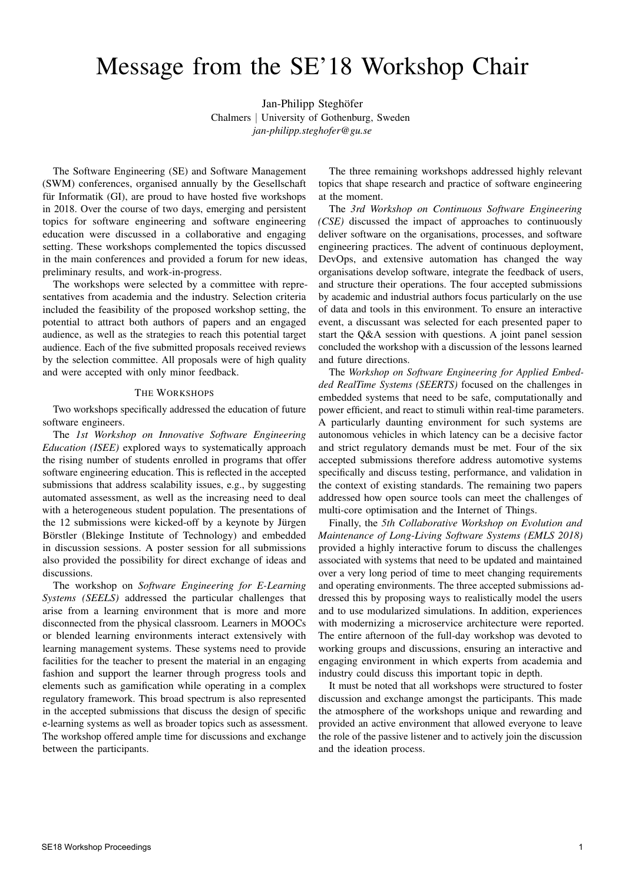## Message from the SE'18 Workshop Chair

Jan-Philipp Steghöfer Chalmers | University of Gothenburg, Sweden *jan-philipp.steghofer@gu.se*

The Software Engineering (SE) and Software Management (SWM) conferences, organised annually by the Gesellschaft für Informatik  $(GI)$ , are proud to have hosted five workshops in 2018. Over the course of two days, emerging and persistent topics for software engineering and software engineering education were discussed in a collaborative and engaging setting. These workshops complemented the topics discussed in the main conferences and provided a forum for new ideas, preliminary results, and work-in-progress.

The workshops were selected by a committee with representatives from academia and the industry. Selection criteria included the feasibility of the proposed workshop setting, the potential to attract both authors of papers and an engaged audience, as well as the strategies to reach this potential target audience. Each of the five submitted proposals received reviews by the selection committee. All proposals were of high quality and were accepted with only minor feedback.

## THE WORKSHOPS

Two workshops specifically addressed the education of future software engineers.

The *1st Workshop on Innovative Software Engineering Education (ISEE)* explored ways to systematically approach the rising number of students enrolled in programs that offer software engineering education. This is reflected in the accepted submissions that address scalability issues, e.g., by suggesting automated assessment, as well as the increasing need to deal with a heterogeneous student population. The presentations of the 12 submissions were kicked-off by a keynote by Jürgen Börstler (Blekinge Institute of Technology) and embedded in discussion sessions. A poster session for all submissions also provided the possibility for direct exchange of ideas and discussions.

The workshop on *Software Engineering for E-Learning Systems (SEELS)* addressed the particular challenges that arise from a learning environment that is more and more disconnected from the physical classroom. Learners in MOOCs or blended learning environments interact extensively with learning management systems. These systems need to provide facilities for the teacher to present the material in an engaging fashion and support the learner through progress tools and elements such as gamification while operating in a complex regulatory framework. This broad spectrum is also represented in the accepted submissions that discuss the design of specific e-learning systems as well as broader topics such as assessment. The workshop offered ample time for discussions and exchange between the participants.

The three remaining workshops addressed highly relevant topics that shape research and practice of software engineering at the moment.

The *3rd Workshop on Continuous Software Engineering (CSE)* discussed the impact of approaches to continuously deliver software on the organisations, processes, and software engineering practices. The advent of continuous deployment, DevOps, and extensive automation has changed the way organisations develop software, integrate the feedback of users, and structure their operations. The four accepted submissions by academic and industrial authors focus particularly on the use of data and tools in this environment. To ensure an interactive event, a discussant was selected for each presented paper to start the Q&A session with questions. A joint panel session concluded the workshop with a discussion of the lessons learned and future directions.

The *Workshop on Software Engineering for Applied Embedded RealTime Systems (SEERTS)* focused on the challenges in embedded systems that need to be safe, computationally and power efficient, and react to stimuli within real-time parameters. A particularly daunting environment for such systems are autonomous vehicles in which latency can be a decisive factor and strict regulatory demands must be met. Four of the six accepted submissions therefore address automotive systems specifically and discuss testing, performance, and validation in the context of existing standards. The remaining two papers addressed how open source tools can meet the challenges of multi-core optimisation and the Internet of Things.

Finally, the *5th Collaborative Workshop on Evolution and Maintenance of Long-Living Software Systems (EMLS 2018)* provided a highly interactive forum to discuss the challenges associated with systems that need to be updated and maintained over a very long period of time to meet changing requirements and operating environments. The three accepted submissions addressed this by proposing ways to realistically model the users and to use modularized simulations. In addition, experiences with modernizing a microservice architecture were reported. The entire afternoon of the full-day workshop was devoted to working groups and discussions, ensuring an interactive and engaging environment in which experts from academia and industry could discuss this important topic in depth.

It must be noted that all workshops were structured to foster discussion and exchange amongst the participants. This made the atmosphere of the workshops unique and rewarding and provided an active environment that allowed everyone to leave the role of the passive listener and to actively join the discussion and the ideation process.